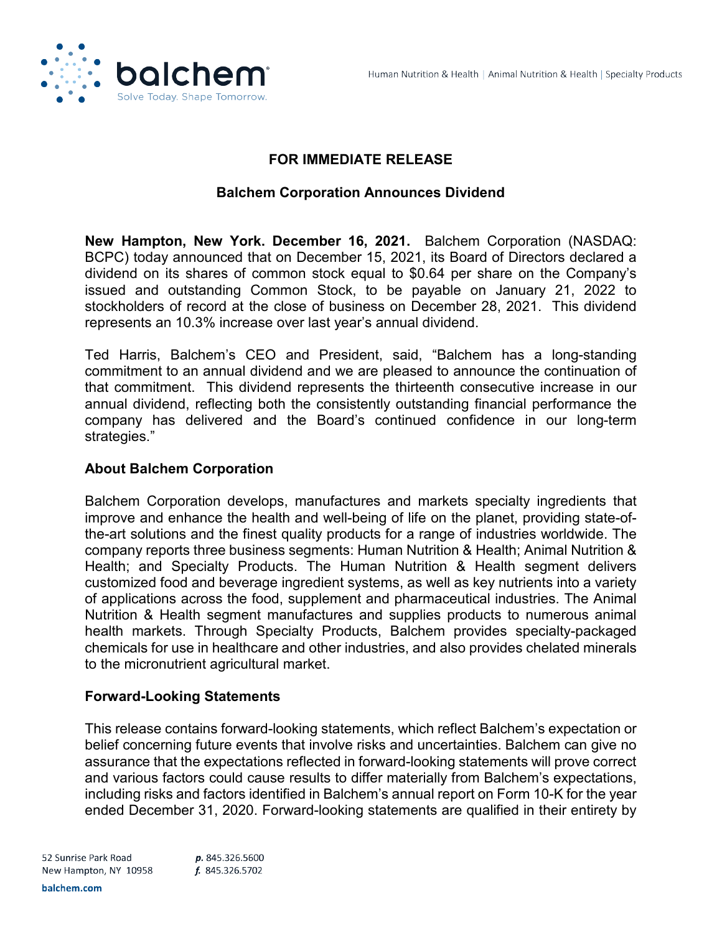

## **FOR IMMEDIATE RELEASE**

## **Balchem Corporation Announces Dividend**

**New Hampton, New York. December 16, 2021.** Balchem Corporation (NASDAQ: BCPC) today announced that on December 15, 2021, its Board of Directors declared a dividend on its shares of common stock equal to \$0.64 per share on the Company's issued and outstanding Common Stock, to be payable on January 21, 2022 to stockholders of record at the close of business on December 28, 2021. This dividend represents an 10.3% increase over last year's annual dividend.

Ted Harris, Balchem's CEO and President, said, "Balchem has a long-standing commitment to an annual dividend and we are pleased to announce the continuation of that commitment. This dividend represents the thirteenth consecutive increase in our annual dividend, reflecting both the consistently outstanding financial performance the company has delivered and the Board's continued confidence in our long-term strategies."

## **About Balchem Corporation**

Balchem Corporation develops, manufactures and markets specialty ingredients that improve and enhance the health and well-being of life on the planet, providing state-ofthe-art solutions and the finest quality products for a range of industries worldwide. The company reports three business segments: Human Nutrition & Health; Animal Nutrition & Health; and Specialty Products. The Human Nutrition & Health segment delivers customized food and beverage ingredient systems, as well as key nutrients into a variety of applications across the food, supplement and pharmaceutical industries. The Animal Nutrition & Health segment manufactures and supplies products to numerous animal health markets. Through Specialty Products, Balchem provides specialty-packaged chemicals for use in healthcare and other industries, and also provides chelated minerals to the micronutrient agricultural market.

## **Forward-Looking Statements**

This release contains forward-looking statements, which reflect Balchem's expectation or belief concerning future events that involve risks and uncertainties. Balchem can give no assurance that the expectations reflected in forward-looking statements will prove correct and various factors could cause results to differ materially from Balchem's expectations, including risks and factors identified in Balchem's annual report on Form 10-K for the year ended December 31, 2020. Forward-looking statements are qualified in their entirety by

52 Sunrise Park Road p. 845.326.5600 New Hampton, NY 10958 f. 845.326.5702